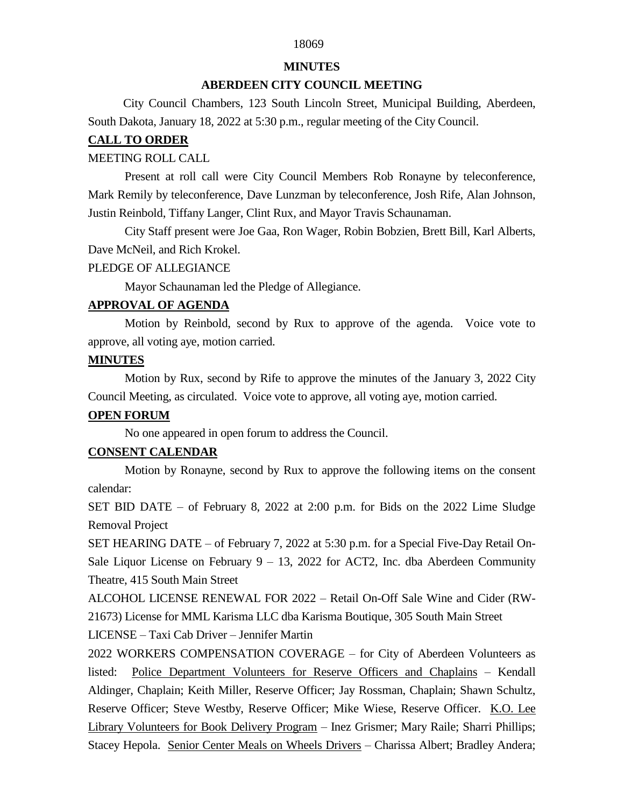## 18069

#### **MINUTES**

### **ABERDEEN CITY COUNCIL MEETING**

 City Council Chambers, 123 South Lincoln Street, Municipal Building, Aberdeen, South Dakota, January 18, 2022 at 5:30 p.m., regular meeting of the City Council.

## **CALL TO ORDER**

### MEETING ROLL CALL

Present at roll call were City Council Members Rob Ronayne by teleconference, Mark Remily by teleconference, Dave Lunzman by teleconference, Josh Rife, Alan Johnson, Justin Reinbold, Tiffany Langer, Clint Rux, and Mayor Travis Schaunaman.

City Staff present were Joe Gaa, Ron Wager, Robin Bobzien, Brett Bill, Karl Alberts, Dave McNeil, and Rich Krokel.

### PLEDGE OF ALLEGIANCE

Mayor Schaunaman led the Pledge of Allegiance.

## **APPROVAL OF AGENDA**

Motion by Reinbold, second by Rux to approve of the agenda. Voice vote to approve, all voting aye, motion carried.

## **MINUTES**

Motion by Rux, second by Rife to approve the minutes of the January 3, 2022 City Council Meeting, as circulated. Voice vote to approve, all voting aye, motion carried.

## **OPEN FORUM**

No one appeared in open forum to address the Council.

## **CONSENT CALENDAR**

Motion by Ronayne, second by Rux to approve the following items on the consent calendar:

SET BID DATE – of February 8, 2022 at 2:00 p.m. for Bids on the 2022 Lime Sludge Removal Project

SET HEARING DATE – of February 7, 2022 at 5:30 p.m. for a Special Five-Day Retail On-Sale Liquor License on February  $9 - 13$ , 2022 for ACT2, Inc. dba Aberdeen Community Theatre, 415 South Main Street

ALCOHOL LICENSE RENEWAL FOR 2022 – Retail On-Off Sale Wine and Cider (RW-21673) License for MML Karisma LLC dba Karisma Boutique, 305 South Main Street

LICENSE – Taxi Cab Driver – Jennifer Martin

2022 WORKERS COMPENSATION COVERAGE – for City of Aberdeen Volunteers as listed: Police Department Volunteers for Reserve Officers and Chaplains – Kendall Aldinger, Chaplain; Keith Miller, Reserve Officer; Jay Rossman, Chaplain; Shawn Schultz, Reserve Officer; Steve Westby, Reserve Officer; Mike Wiese, Reserve Officer. K.O. Lee Library Volunteers for Book Delivery Program – Inez Grismer; Mary Raile; Sharri Phillips; Stacey Hepola. Senior Center Meals on Wheels Drivers – Charissa Albert; Bradley Andera;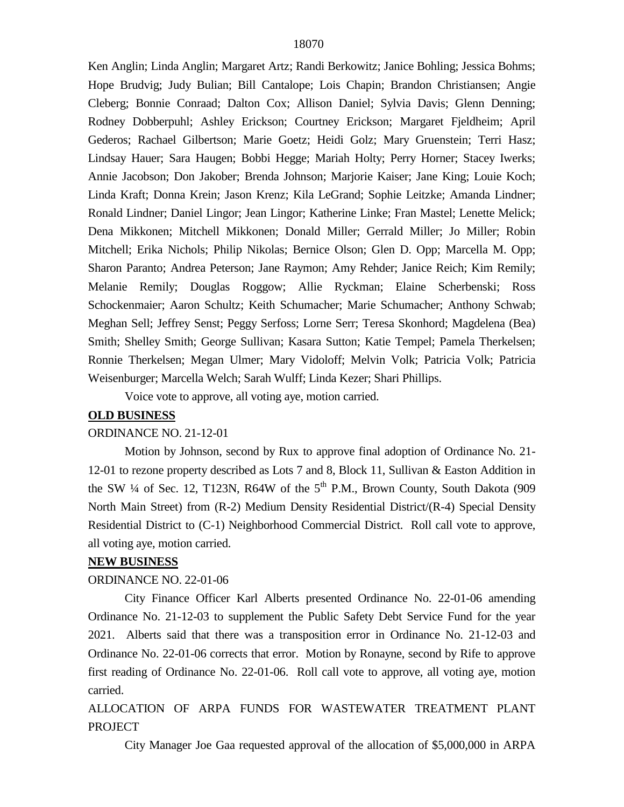Ken Anglin; Linda Anglin; Margaret Artz; Randi Berkowitz; Janice Bohling; Jessica Bohms; Hope Brudvig; Judy Bulian; Bill Cantalope; Lois Chapin; Brandon Christiansen; Angie Cleberg; Bonnie Conraad; Dalton Cox; Allison Daniel; Sylvia Davis; Glenn Denning; Rodney Dobberpuhl; Ashley Erickson; Courtney Erickson; Margaret Fjeldheim; April Gederos; Rachael Gilbertson; Marie Goetz; Heidi Golz; Mary Gruenstein; Terri Hasz; Lindsay Hauer; Sara Haugen; Bobbi Hegge; Mariah Holty; Perry Horner; Stacey Iwerks; Annie Jacobson; Don Jakober; Brenda Johnson; Marjorie Kaiser; Jane King; Louie Koch; Linda Kraft; Donna Krein; Jason Krenz; Kila LeGrand; Sophie Leitzke; Amanda Lindner; Ronald Lindner; Daniel Lingor; Jean Lingor; Katherine Linke; Fran Mastel; Lenette Melick; Dena Mikkonen; Mitchell Mikkonen; Donald Miller; Gerrald Miller; Jo Miller; Robin Mitchell; Erika Nichols; Philip Nikolas; Bernice Olson; Glen D. Opp; Marcella M. Opp; Sharon Paranto; Andrea Peterson; Jane Raymon; Amy Rehder; Janice Reich; Kim Remily; Melanie Remily; Douglas Roggow; Allie Ryckman; Elaine Scherbenski; Ross Schockenmaier; Aaron Schultz; Keith Schumacher; Marie Schumacher; Anthony Schwab; Meghan Sell; Jeffrey Senst; Peggy Serfoss; Lorne Serr; Teresa Skonhord; Magdelena (Bea) Smith; Shelley Smith; George Sullivan; Kasara Sutton; Katie Tempel; Pamela Therkelsen; Ronnie Therkelsen; Megan Ulmer; Mary Vidoloff; Melvin Volk; Patricia Volk; Patricia Weisenburger; Marcella Welch; Sarah Wulff; Linda Kezer; Shari Phillips.

Voice vote to approve, all voting aye, motion carried.

## **OLD BUSINESS**

## ORDINANCE NO. 21-12-01

Motion by Johnson, second by Rux to approve final adoption of Ordinance No. 21- 12-01 to rezone property described as Lots 7 and 8, Block 11, Sullivan & Easton Addition in the SW  $\frac{1}{4}$  of Sec. 12, T123N, R64W of the  $5<sup>th</sup>$  P.M., Brown County, South Dakota (909) North Main Street) from (R-2) Medium Density Residential District/(R-4) Special Density Residential District to (C-1) Neighborhood Commercial District. Roll call vote to approve, all voting aye, motion carried.

#### **NEW BUSINESS**

#### ORDINANCE NO. 22-01-06

City Finance Officer Karl Alberts presented Ordinance No. 22-01-06 amending Ordinance No. 21-12-03 to supplement the Public Safety Debt Service Fund for the year 2021. Alberts said that there was a transposition error in Ordinance No. 21-12-03 and Ordinance No. 22-01-06 corrects that error. Motion by Ronayne, second by Rife to approve first reading of Ordinance No. 22-01-06. Roll call vote to approve, all voting aye, motion carried.

ALLOCATION OF ARPA FUNDS FOR WASTEWATER TREATMENT PLANT **PROJECT** 

City Manager Joe Gaa requested approval of the allocation of \$5,000,000 in ARPA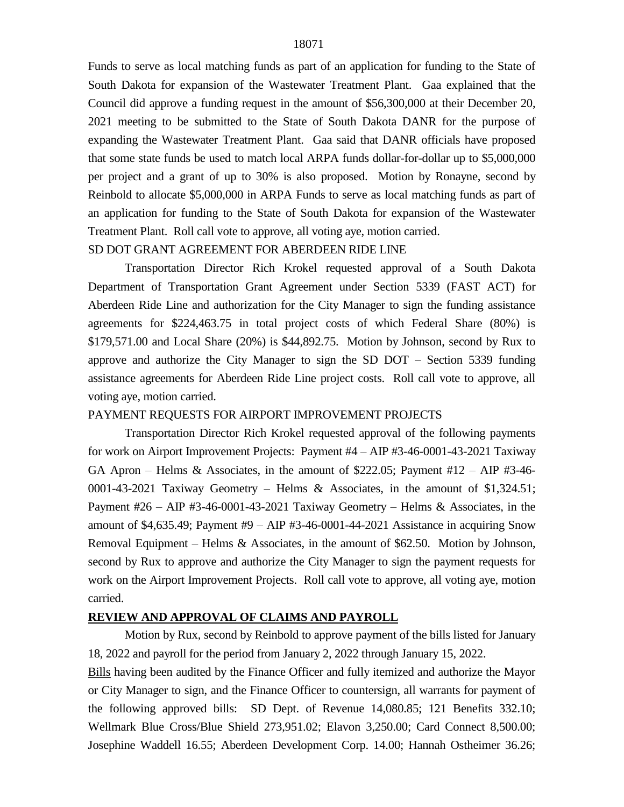Funds to serve as local matching funds as part of an application for funding to the State of South Dakota for expansion of the Wastewater Treatment Plant. Gaa explained that the Council did approve a funding request in the amount of \$56,300,000 at their December 20, 2021 meeting to be submitted to the State of South Dakota DANR for the purpose of expanding the Wastewater Treatment Plant. Gaa said that DANR officials have proposed that some state funds be used to match local ARPA funds dollar-for-dollar up to \$5,000,000 per project and a grant of up to 30% is also proposed. Motion by Ronayne, second by Reinbold to allocate \$5,000,000 in ARPA Funds to serve as local matching funds as part of an application for funding to the State of South Dakota for expansion of the Wastewater Treatment Plant. Roll call vote to approve, all voting aye, motion carried.

# SD DOT GRANT AGREEMENT FOR ABERDEEN RIDE LINE Transportation Director Rich Krokel requested approval of a South Dakota

Department of Transportation Grant Agreement under Section 5339 (FAST ACT) for Aberdeen Ride Line and authorization for the City Manager to sign the funding assistance agreements for \$224,463.75 in total project costs of which Federal Share (80%) is \$179,571.00 and Local Share (20%) is \$44,892.75. Motion by Johnson, second by Rux to approve and authorize the City Manager to sign the SD DOT – Section 5339 funding assistance agreements for Aberdeen Ride Line project costs. Roll call vote to approve, all voting aye, motion carried.

## PAYMENT REQUESTS FOR AIRPORT IMPROVEMENT PROJECTS

Transportation Director Rich Krokel requested approval of the following payments for work on Airport Improvement Projects: Payment #4 – AIP #3-46-0001-43-2021 Taxiway GA Apron – Helms & Associates, in the amount of \$222.05; Payment  $#12$  – AIP  $#3$ -46-0001-43-2021 Taxiway Geometry – Helms & Associates, in the amount of \$1,324.51; Payment  $#26 - AIP$   $#3-46-0001-43-2021$  Taxiway Geometry – Helms & Associates, in the amount of \$4,635.49; Payment #9 – AIP #3-46-0001-44-2021 Assistance in acquiring Snow Removal Equipment – Helms & Associates, in the amount of \$62.50. Motion by Johnson, second by Rux to approve and authorize the City Manager to sign the payment requests for work on the Airport Improvement Projects. Roll call vote to approve, all voting aye, motion carried.

#### **REVIEW AND APPROVAL OF CLAIMS AND PAYROLL**

Motion by Rux, second by Reinbold to approve payment of the bills listed for January 18, 2022 and payroll for the period from January 2, 2022 through January 15, 2022.

Bills having been audited by the Finance Officer and fully itemized and authorize the Mayor or City Manager to sign, and the Finance Officer to countersign, all warrants for payment of the following approved bills: SD Dept. of Revenue 14,080.85; 121 Benefits 332.10; Wellmark Blue Cross/Blue Shield 273,951.02; Elavon 3,250.00; Card Connect 8,500.00; Josephine Waddell 16.55; Aberdeen Development Corp. 14.00; Hannah Ostheimer 36.26;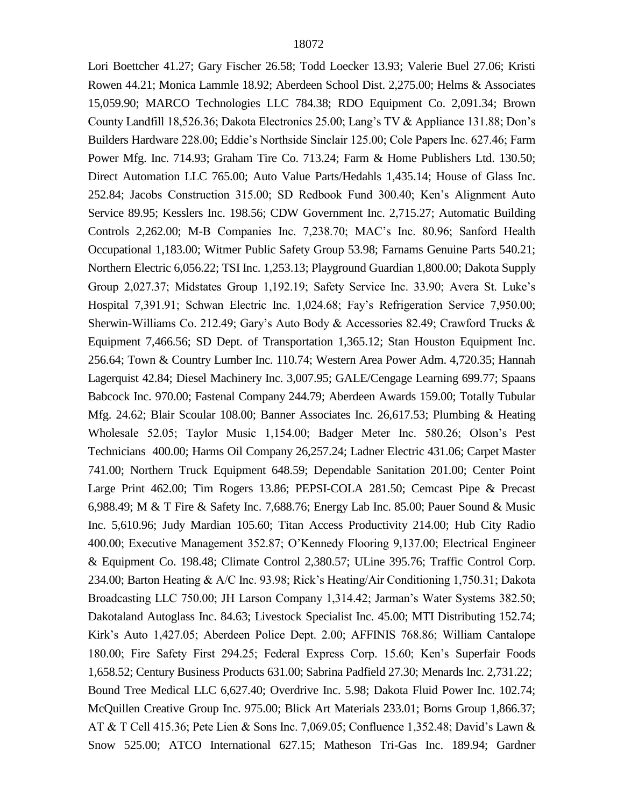Lori Boettcher 41.27; Gary Fischer 26.58; Todd Loecker 13.93; Valerie Buel 27.06; Kristi Rowen 44.21; Monica Lammle 18.92; Aberdeen School Dist. 2,275.00; Helms & Associates 15,059.90; MARCO Technologies LLC 784.38; RDO Equipment Co. 2,091.34; Brown County Landfill 18,526.36; Dakota Electronics 25.00; Lang's TV & Appliance 131.88; Don's Builders Hardware 228.00; Eddie's Northside Sinclair 125.00; Cole Papers Inc. 627.46; Farm Power Mfg. Inc. 714.93; Graham Tire Co. 713.24; Farm & Home Publishers Ltd. 130.50; Direct Automation LLC 765.00; Auto Value Parts/Hedahls 1,435.14; House of Glass Inc. 252.84; Jacobs Construction 315.00; SD Redbook Fund 300.40; Ken's Alignment Auto Service 89.95; Kesslers Inc. 198.56; CDW Government Inc. 2,715.27; Automatic Building Controls 2,262.00; M-B Companies Inc. 7,238.70; MAC's Inc. 80.96; Sanford Health Occupational 1,183.00; Witmer Public Safety Group 53.98; Farnams Genuine Parts 540.21; Northern Electric 6,056.22; TSI Inc. 1,253.13; Playground Guardian 1,800.00; Dakota Supply Group 2,027.37; Midstates Group 1,192.19; Safety Service Inc. 33.90; Avera St. Luke's Hospital 7,391.91; Schwan Electric Inc. 1,024.68; Fay's Refrigeration Service 7,950.00; Sherwin-Williams Co. 212.49; Gary's Auto Body & Accessories 82.49; Crawford Trucks & Equipment 7,466.56; SD Dept. of Transportation 1,365.12; Stan Houston Equipment Inc. 256.64; Town & Country Lumber Inc. 110.74; Western Area Power Adm. 4,720.35; Hannah Lagerquist 42.84; Diesel Machinery Inc. 3,007.95; GALE/Cengage Learning 699.77; Spaans Babcock Inc. 970.00; Fastenal Company 244.79; Aberdeen Awards 159.00; Totally Tubular Mfg. 24.62; Blair Scoular 108.00; Banner Associates Inc. 26,617.53; Plumbing & Heating Wholesale 52.05; Taylor Music 1,154.00; Badger Meter Inc. 580.26; Olson's Pest Technicians 400.00; Harms Oil Company 26,257.24; Ladner Electric 431.06; Carpet Master 741.00; Northern Truck Equipment 648.59; Dependable Sanitation 201.00; Center Point Large Print 462.00; Tim Rogers 13.86; PEPSI-COLA 281.50; Cemcast Pipe & Precast 6,988.49; M & T Fire & Safety Inc. 7,688.76; Energy Lab Inc. 85.00; Pauer Sound & Music Inc. 5,610.96; Judy Mardian 105.60; Titan Access Productivity 214.00; Hub City Radio 400.00; Executive Management 352.87; O'Kennedy Flooring 9,137.00; Electrical Engineer & Equipment Co. 198.48; Climate Control 2,380.57; ULine 395.76; Traffic Control Corp. 234.00; Barton Heating & A/C Inc. 93.98; Rick's Heating/Air Conditioning 1,750.31; Dakota Broadcasting LLC 750.00; JH Larson Company 1,314.42; Jarman's Water Systems 382.50; Dakotaland Autoglass Inc. 84.63; Livestock Specialist Inc. 45.00; MTI Distributing 152.74; Kirk's Auto 1,427.05; Aberdeen Police Dept. 2.00; AFFINIS 768.86; William Cantalope 180.00; Fire Safety First 294.25; Federal Express Corp. 15.60; Ken's Superfair Foods 1,658.52; Century Business Products 631.00; Sabrina Padfield 27.30; Menards Inc. 2,731.22; Bound Tree Medical LLC 6,627.40; Overdrive Inc. 5.98; Dakota Fluid Power Inc. 102.74; McQuillen Creative Group Inc. 975.00; Blick Art Materials 233.01; Borns Group 1,866.37; AT & T Cell 415.36; Pete Lien & Sons Inc. 7,069.05; Confluence 1,352.48; David's Lawn & Snow 525.00; ATCO International 627.15; Matheson Tri-Gas Inc. 189.94; Gardner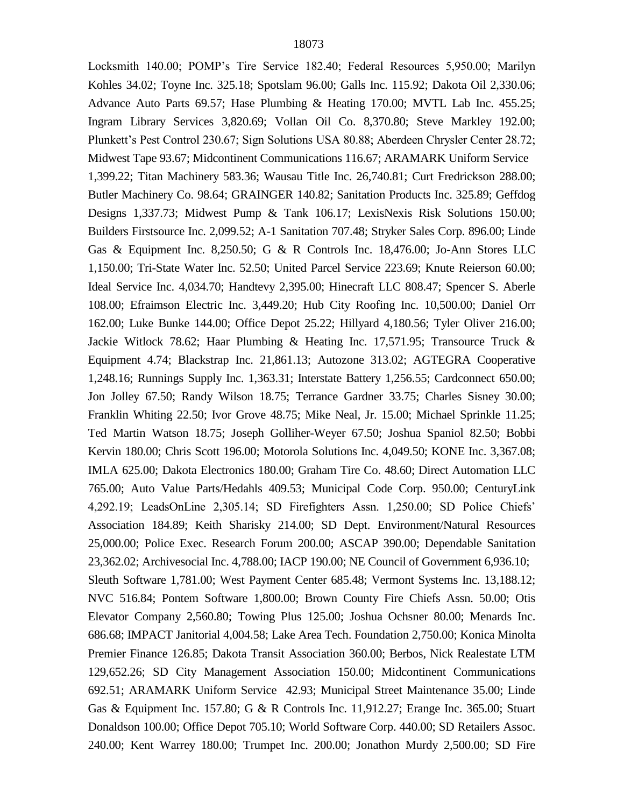Locksmith 140.00; POMP's Tire Service 182.40; Federal Resources 5,950.00; Marilyn Kohles 34.02; Toyne Inc. 325.18; Spotslam 96.00; Galls Inc. 115.92; Dakota Oil 2,330.06; Advance Auto Parts 69.57; Hase Plumbing & Heating 170.00; MVTL Lab Inc. 455.25; Ingram Library Services 3,820.69; Vollan Oil Co. 8,370.80; Steve Markley 192.00; Plunkett's Pest Control 230.67; Sign Solutions USA 80.88; Aberdeen Chrysler Center 28.72; Midwest Tape 93.67; Midcontinent Communications 116.67; ARAMARK Uniform Service 1,399.22; Titan Machinery 583.36; Wausau Title Inc. 26,740.81; Curt Fredrickson 288.00; Butler Machinery Co. 98.64; GRAINGER 140.82; Sanitation Products Inc. 325.89; Geffdog Designs 1,337.73; Midwest Pump & Tank 106.17; LexisNexis Risk Solutions 150.00; Builders Firstsource Inc. 2,099.52; A-1 Sanitation 707.48; Stryker Sales Corp. 896.00; Linde Gas & Equipment Inc. 8,250.50; G & R Controls Inc. 18,476.00; Jo-Ann Stores LLC 1,150.00; Tri-State Water Inc. 52.50; United Parcel Service 223.69; Knute Reierson 60.00; Ideal Service Inc. 4,034.70; Handtevy 2,395.00; Hinecraft LLC 808.47; Spencer S. Aberle 108.00; Efraimson Electric Inc. 3,449.20; Hub City Roofing Inc. 10,500.00; Daniel Orr 162.00; Luke Bunke 144.00; Office Depot 25.22; Hillyard 4,180.56; Tyler Oliver 216.00; Jackie Witlock 78.62; Haar Plumbing & Heating Inc. 17,571.95; Transource Truck & Equipment 4.74; Blackstrap Inc. 21,861.13; Autozone 313.02; AGTEGRA Cooperative 1,248.16; Runnings Supply Inc. 1,363.31; Interstate Battery 1,256.55; Cardconnect 650.00; Jon Jolley 67.50; Randy Wilson 18.75; Terrance Gardner 33.75; Charles Sisney 30.00; Franklin Whiting 22.50; Ivor Grove 48.75; Mike Neal, Jr. 15.00; Michael Sprinkle 11.25; Ted Martin Watson 18.75; Joseph Golliher-Weyer 67.50; Joshua Spaniol 82.50; Bobbi Kervin 180.00; Chris Scott 196.00; Motorola Solutions Inc. 4,049.50; KONE Inc. 3,367.08; IMLA 625.00; Dakota Electronics 180.00; Graham Tire Co. 48.60; Direct Automation LLC 765.00; Auto Value Parts/Hedahls 409.53; Municipal Code Corp. 950.00; CenturyLink 4,292.19; LeadsOnLine 2,305.14; SD Firefighters Assn. 1,250.00; SD Police Chiefs' Association 184.89; Keith Sharisky 214.00; SD Dept. Environment/Natural Resources 25,000.00; Police Exec. Research Forum 200.00; ASCAP 390.00; Dependable Sanitation 23,362.02; Archivesocial Inc. 4,788.00; IACP 190.00; NE Council of Government 6,936.10; Sleuth Software 1,781.00; West Payment Center 685.48; Vermont Systems Inc. 13,188.12; NVC 516.84; Pontem Software 1,800.00; Brown County Fire Chiefs Assn. 50.00; Otis Elevator Company 2,560.80; Towing Plus 125.00; Joshua Ochsner 80.00; Menards Inc. 686.68; IMPACT Janitorial 4,004.58; Lake Area Tech. Foundation 2,750.00; Konica Minolta Premier Finance 126.85; Dakota Transit Association 360.00; Berbos, Nick Realestate LTM 129,652.26; SD City Management Association 150.00; Midcontinent Communications 692.51; ARAMARK Uniform Service 42.93; Municipal Street Maintenance 35.00; Linde Gas & Equipment Inc. 157.80; G & R Controls Inc. 11,912.27; Erange Inc. 365.00; Stuart Donaldson 100.00; Office Depot 705.10; World Software Corp. 440.00; SD Retailers Assoc. 240.00; Kent Warrey 180.00; Trumpet Inc. 200.00; Jonathon Murdy 2,500.00; SD Fire